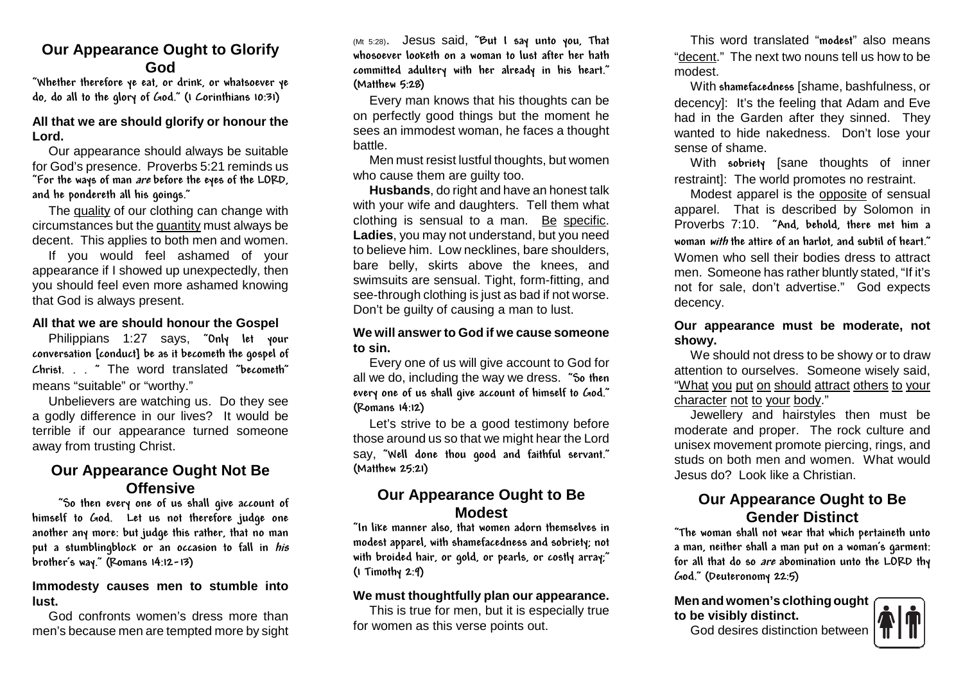## **Our Appearance Ought to GlorifyGod**

 "Whether therefore ye eat, or drink, or whatsoever yedo, do all to the glory of God." (1 Corinthians 10:31)

#### **All that we are should glorify or honour theLord.**

 Our appearance should always be suitable for God's presence. Proverbs 5:21 reminds us "For the ways of man are before the eyes of the LORD, and he pondereth all his goings."

The quality of our clothing can change withcircumstances but the <u>quantity</u> must always be decent. This applies to both men and women.

 If you would feel ashamed of your appearance if I showed up unexpectedly, then you should feel even more ashamed knowingthat God is always present.

#### **All that we are should honour the Gospel**

 Philippians 1:27 says, "Only let your conversation [conduct] be as it becometh the gospel of Christ. . . " The word translated "becometh"means "suitable" or "worthy."

 Unbelievers are watching us. Do they see a godly difference in our lives? It would be terrible if our appearance turned someoneaway from trusting Christ.

## **Our Appearance Ought Not BeOffensive**

 "So then every one of us shall give account of himself to God. Let us not therefore judge one another any more: but judge this rather, that no manput a stumblingblock or an occasion to fall in *his* brother's way." (Romans 14:12-13)

#### **Immodesty causes men to stumble intolust.**

 God confronts women's dress more thanmen's because men are tempted more by sight (Mt 5:28). Jesus said, "But I say unto you, That whosoever looketh on a woman to lust after her hath committed adultery with her already in his heart."(Matthew 5:28)

Every man knows that his thoughts can be on perfectly good things but the moment he sees an immodest woman, he faces a thoughtbattle.

 Men must resist lustful thoughts, but womenwho cause them are guilty too.

 **Husbands**, do right and have an honest talk with your wife and daughters. Tell them whatclothing is sensual to a man. Be specific. **Ladies**, you may not understand, but you need to believe him. Low necklines, bare shoulders, bare belly, skirts above the knees, and swimsuits are sensual. Tight, form-fitting, and see-through clothing is just as bad if not worse. Don't be guilty of causing a man to lust.

#### **We will answer to God if we cause someoneto sin.**

 Every one of us will give account to God for all we do, including the way we dress. "So then every one of us shall give account of himself to God."(Romans 14:12)

Let's strive to be a good testimony before those around us so that we might hear the Lord say, "Well done thou good and faithful servant."(Matthew 25:21)

# **Our Appearance Ought to BeModest**

 "In like manner also, that women adorn themselves in modest apparel, with shamefacedness and sobriety; not with broided hair, or gold, or pearls, or costly array;"(1 Timothy 2:9)

#### **We must thoughtfully plan our appearance.**

 This is true for men, but it is especially truefor women as this verse points out.

This word translated "modest" also means "decent." The next two nouns tell us how to bemodest.

 With shamefacedness [shame, bashfulness, ordecency]: It's the feeling that Adam and Eve had in the Garden after they sinned. They wanted to hide nakedness. Don't lose yoursense of shame.

With sobriety [sane thoughts of inner restraint]: The world promotes no restraint.

Modest apparel is the **opposite** of sensual apparel. That is described by Solomon in Proverbs 7:10. "And, behold, there met him a woman with the attire of an harlot, and subtil of heart."Women who sell their bodies dress to attract men. Someone has rather bluntly stated, "If it's not for sale, don't advertise." God expectsdecency.

**Our appearance must be moderate, notshowy.**

 We should not dress to be showy or to draw attention to ourselves. Someone wisely said, "What you put on should attract others to yourcharacter not to your body."

 Jewellery and hairstyles then must be moderate and proper. The rock culture and unisex movement promote piercing, rings, and studs on both men and women. What wouldJesus do? Look like a Christian.

# **Our Appearance Ought to BeGender Distinct**

 "The woman shall not wear that which pertaineth unto a man, neither shall a man put on a woman's garment: for all that do so are abomination unto the LORD thyGod." (Deuteronomy 22:5)

**Men and women's clothing oughtto be visibly distinct.**

God desires distinction between